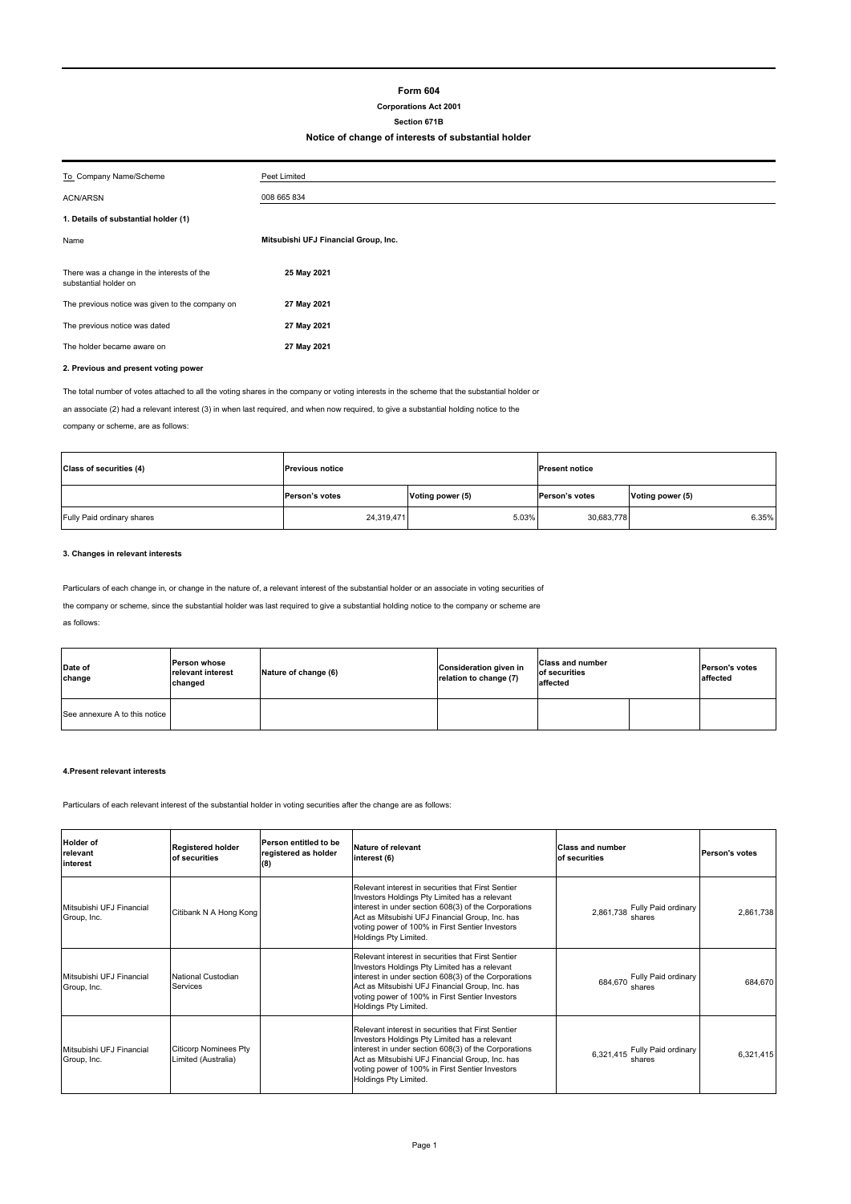## **Form 604**

# **Corporations Act 2001**

# **Section 671B**

## **Notice of change of interests of substantial holder**

| To Company Name/Scheme                                              | Peet Limited                         |  |
|---------------------------------------------------------------------|--------------------------------------|--|
| <b>ACN/ARSN</b>                                                     | 008 665 834                          |  |
| 1. Details of substantial holder (1)                                |                                      |  |
| Name                                                                | Mitsubishi UFJ Financial Group, Inc. |  |
|                                                                     |                                      |  |
| There was a change in the interests of the<br>substantial holder on | 25 May 2021                          |  |
| The previous notice was given to the company on                     | 27 May 2021                          |  |
| The previous notice was dated                                       | 27 May 2021                          |  |
| The holder became aware on                                          | 27 May 2021                          |  |
|                                                                     |                                      |  |

## **2. Previous and present voting power**

The total number of votes attached to all the voting shares in the company or voting interests in the scheme that the substantial holder or

an associate (2) had a relevant interest (3) in when last required, and when now required, to give a substantial holding notice to the company or scheme, are as follows:

| Class of securities (4)    | <b>Previous notice</b> |                  | <b>Present notice</b> |                  |
|----------------------------|------------------------|------------------|-----------------------|------------------|
|                            | Person's votes         | Voting power (5) | Person's votes        | Voting power (5) |
| Fully Paid ordinary shares | 24,319,471             | 5.03%            | 30,683,778            | 6.35%            |

### **3. Changes in relevant interests**

Particulars of each change in, or change in the nature of, a relevant interest of the substantial holder or an associate in voting securities of

the company or scheme, since the substantial holder was last required to give a substantial holding notice to the company or scheme are

| Date of<br>change             | <b>Person whose</b><br>relevant interest<br>changed | Nature of change (6) | <b>Consideration given in</b><br>relation to change (7) | <b>Class and number</b><br>of securities<br>affected | <b>Person's votes</b><br>affected |
|-------------------------------|-----------------------------------------------------|----------------------|---------------------------------------------------------|------------------------------------------------------|-----------------------------------|
| See annexure A to this notice |                                                     |                      |                                                         |                                                      |                                   |

#### **4.Present relevant interests**

Particulars of each relevant interest of the substantial holder in voting securities after the change are as follows:

| <b>Holder of</b><br>relevant<br>interest | <b>Registered holder</b><br>of securities           | Person entitled to be<br>registered as holder<br>(8) | <b>Nature of relevant</b><br>interest (6)                                                                                                                                                                                                                                                  | <b>Class and number</b><br>of securities   | Person's votes |
|------------------------------------------|-----------------------------------------------------|------------------------------------------------------|--------------------------------------------------------------------------------------------------------------------------------------------------------------------------------------------------------------------------------------------------------------------------------------------|--------------------------------------------|----------------|
| Mitsubishi UFJ Financial<br>Group, Inc.  | Citibank N A Hong Kong                              |                                                      | Relevant interest in securities that First Sentier<br>Investors Holdings Pty Limited has a relevant<br>interest in under section 608(3) of the Corporations<br>Act as Mitsubishi UFJ Financial Group, Inc. has<br>voting power of 100% in First Sentier Investors<br>Holdings Pty Limited. | Fully Paid ordinary<br>2,861,738<br>shares | 2,861,738      |
| Mitsubishi UFJ Financial<br>Group, Inc.  | <b>National Custodian</b><br>Services               |                                                      | Relevant interest in securities that First Sentier<br>Investors Holdings Pty Limited has a relevant<br>interest in under section 608(3) of the Corporations<br>Act as Mitsubishi UFJ Financial Group, Inc. has<br>voting power of 100% in First Sentier Investors<br>Holdings Pty Limited. | Fully Paid ordinary<br>684.670<br>shares   | 684.670        |
| Mitsubishi UFJ Financial<br>Group, Inc.  | <b>Citicorp Nominees Pty</b><br>Limited (Australia) |                                                      | Relevant interest in securities that First Sentier<br>Investors Holdings Pty Limited has a relevant<br>interest in under section 608(3) of the Corporations<br>Act as Mitsubishi UFJ Financial Group, Inc. has<br>voting power of 100% in First Sentier Investors<br>Holdings Pty Limited. | 6,321,415 Fully Paid ordinary<br>shares    | 6.321.415      |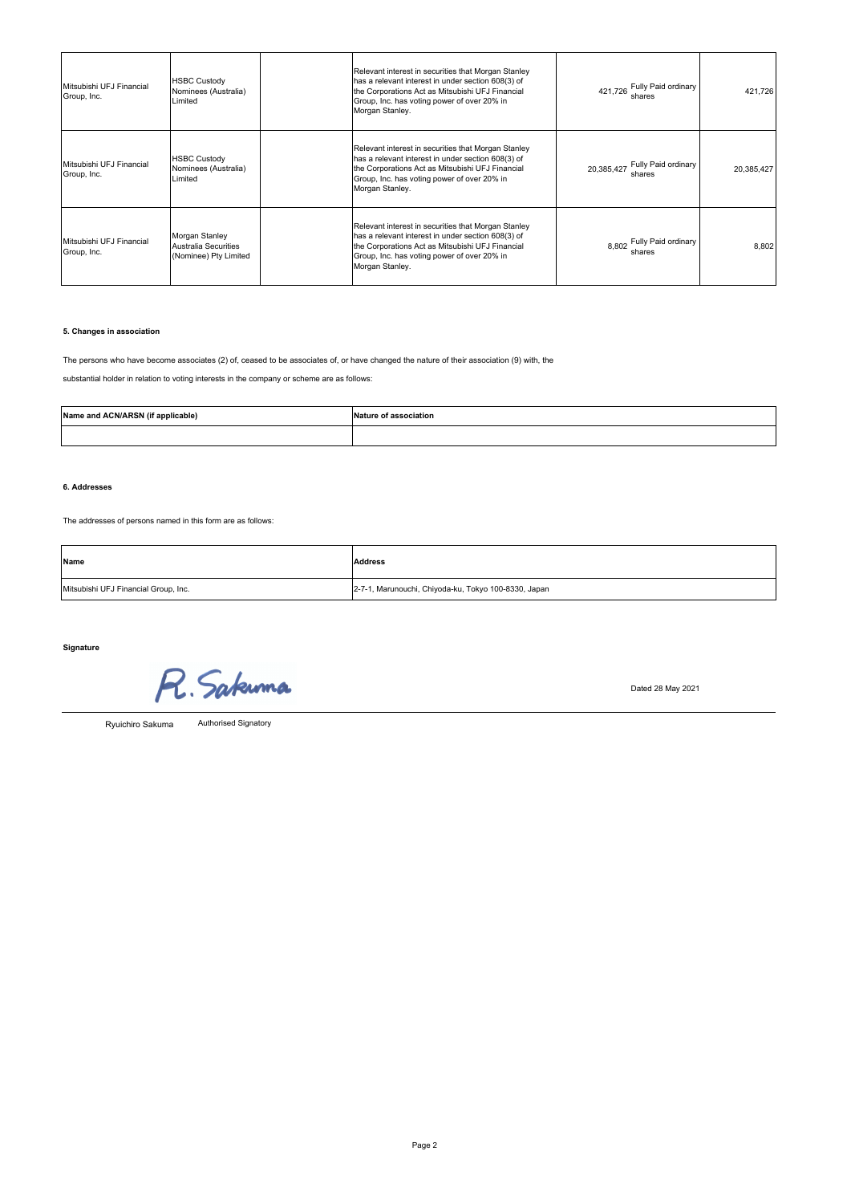| Mitsubishi UFJ Financial<br>Group, Inc. | <b>HSBC Custody</b><br>Nominees (Australia)<br>Limited                 | Relevant interest in securities that Morgan Stanley<br>has a relevant interest in under section 608(3) of<br>the Corporations Act as Mitsubishi UFJ Financial<br>Group, Inc. has voting power of over 20% in<br>Morgan Stanley. | 421,726 Fully Paid ordinary<br>shares       | 421,726    |
|-----------------------------------------|------------------------------------------------------------------------|---------------------------------------------------------------------------------------------------------------------------------------------------------------------------------------------------------------------------------|---------------------------------------------|------------|
| Mitsubishi UFJ Financial<br>Group, Inc. | <b>HSBC Custody</b><br>Nominees (Australia)<br>Limited                 | Relevant interest in securities that Morgan Stanley<br>has a relevant interest in under section 608(3) of<br>the Corporations Act as Mitsubishi UFJ Financial<br>Group, Inc. has voting power of over 20% in<br>Morgan Stanley. | Fully Paid ordinary<br>20,385,427<br>shares | 20,385,427 |
| Mitsubishi UFJ Financial<br>Group, Inc. | Morgan Stanley<br><b>Australia Securities</b><br>(Nominee) Pty Limited | Relevant interest in securities that Morgan Stanley<br>has a relevant interest in under section 608(3) of<br>the Corporations Act as Mitsubishi UFJ Financial<br>Group, Inc. has voting power of over 20% in<br>Morgan Stanley. | 8,802 Fully Paid ordinary<br>shares         | 8,802      |

## **5. Changes in association**

The persons who have become associates (2) of, ceased to be associates of, or have changed the nature of their association (9) with, the

substantial holder in relation to voting interests in the company or scheme are as follows:

| Name and ACN/ARSN (if applicable) | Nature of association |
|-----------------------------------|-----------------------|
|                                   |                       |

## **6. Addresses**

The addresses of persons named in this form are as follows:

| Name                                 | <b>Address</b>                                       |
|--------------------------------------|------------------------------------------------------|
| Mitsubishi UFJ Financial Group, Inc. | 2-7-1, Marunouchi, Chiyoda-ku, Tokyo 100-8330, Japan |

**Signature**

R. Sakunna

Dated 28 May 2021

Ryuichiro Sakuma

Authorised Signatory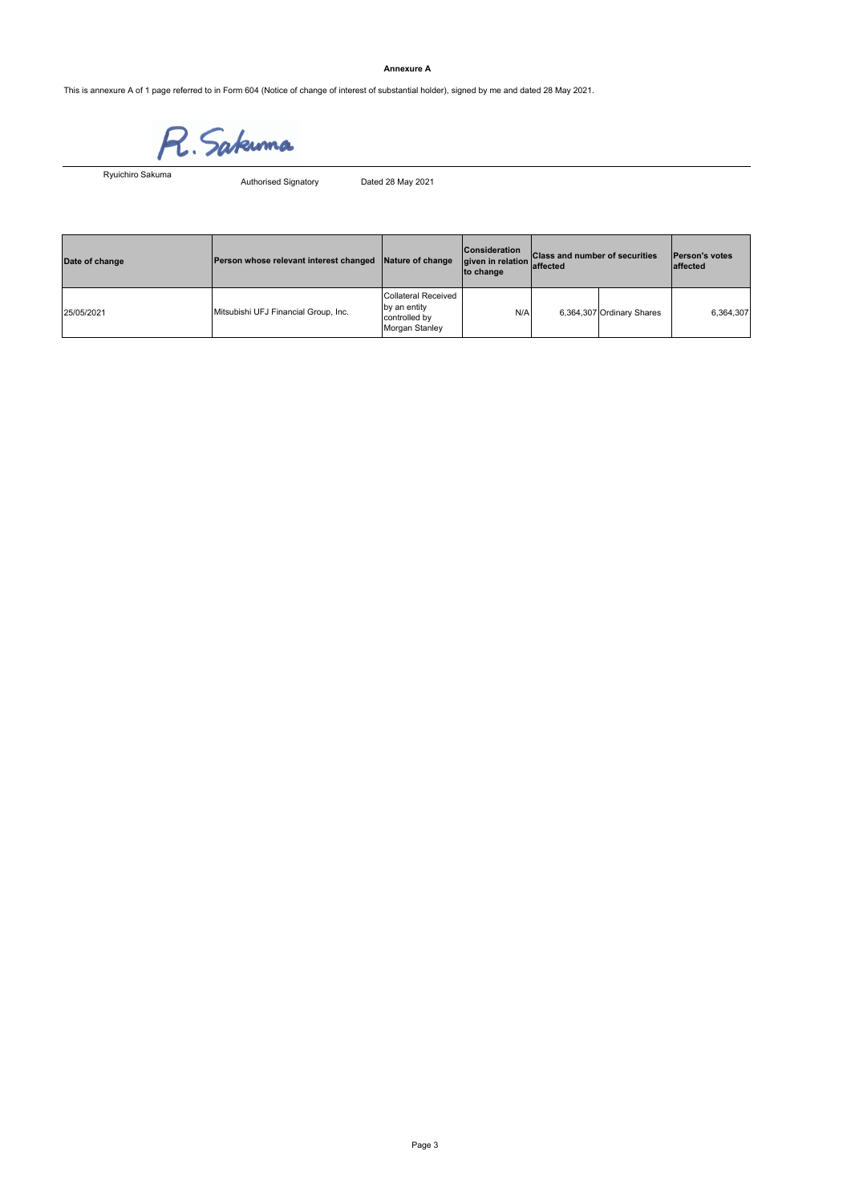### **Annexure A**

This is annexure A of 1 page referred to in Form 604 (Notice of change of interest of substantial holder), signed by me and dated 28 May 2021.

**R.** Sakuma<br>Authorised Signatory Dated 28 May 2021

Ryuichiro Sakuma

| Date of change | Person whose relevant interest changed | Nature of change                                                              | <b>Consideration</b><br>given in relation affected<br>to change | <b>Class and number of securities</b> |                           | <b>Person's votes</b><br>laffected |
|----------------|----------------------------------------|-------------------------------------------------------------------------------|-----------------------------------------------------------------|---------------------------------------|---------------------------|------------------------------------|
| 25/05/2021     | Mitsubishi UFJ Financial Group, Inc.   | <b>Collateral Received</b><br>by an entity<br>controlled by<br>Morgan Stanley | N/A                                                             |                                       | 6,364,307 Ordinary Shares | 6,364,307                          |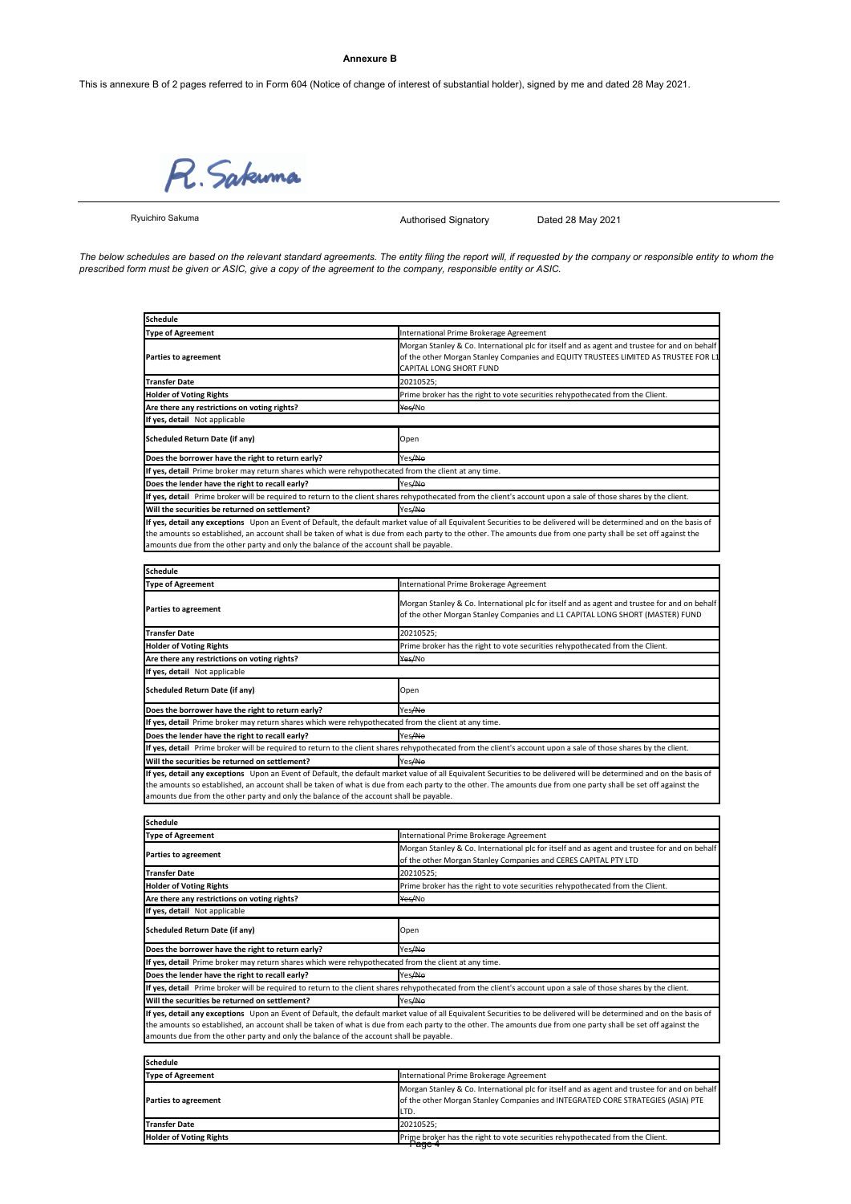#### **Annexure B**

R. Sakuma

Ryuichiro Sakuma

Authorised Signatory Dated 28 May 2021

*The below schedules are based on the relevant standard agreements. The entity filing the report will, if requested by the company or responsible entity to whom the prescribed form must be given or ASIC, give a copy of the agreement to the company, responsible entity or ASIC.*

| <b>Schedule</b>                                                                                      |                                                                                                                                                                                                                                                                                                                                        |
|------------------------------------------------------------------------------------------------------|----------------------------------------------------------------------------------------------------------------------------------------------------------------------------------------------------------------------------------------------------------------------------------------------------------------------------------------|
| <b>Type of Agreement</b>                                                                             | International Prime Brokerage Agreement                                                                                                                                                                                                                                                                                                |
| <b>Parties to agreement</b>                                                                          | Morgan Stanley & Co. International plc for itself and as agent and trustee for and on behalf<br>of the other Morgan Stanley Companies and EQUITY TRUSTEES LIMITED AS TRUSTEE FOR L1<br>CAPITAL LONG SHORT FUND                                                                                                                         |
| <b>Transfer Date</b>                                                                                 | 20210525;                                                                                                                                                                                                                                                                                                                              |
| <b>Holder of Voting Rights</b>                                                                       | Prime broker has the right to vote securities rehypothecated from the Client.                                                                                                                                                                                                                                                          |
| Are there any restrictions on voting rights?                                                         | Yes/No                                                                                                                                                                                                                                                                                                                                 |
| If yes, detail Not applicable                                                                        |                                                                                                                                                                                                                                                                                                                                        |
| Scheduled Return Date (if any)                                                                       | Open                                                                                                                                                                                                                                                                                                                                   |
| Does the borrower have the right to return early?                                                    | Yes/No                                                                                                                                                                                                                                                                                                                                 |
| If yes, detail Prime broker may return shares which were rehypothecated from the client at any time. |                                                                                                                                                                                                                                                                                                                                        |
| Does the lender have the right to recall early?                                                      | Yes <del>/No</del>                                                                                                                                                                                                                                                                                                                     |
|                                                                                                      | If yes, detail Prime broker will be required to return to the client shares rehypothecated from the client's account upon a sale of those shares by the client.                                                                                                                                                                        |
| Will the securities be returned on settlement?                                                       | Yes <del>/No</del>                                                                                                                                                                                                                                                                                                                     |
| amounts due from the other party and only the balance of the account shall be payable.               | If yes, detail any exceptions Upon an Event of Default, the default market value of all Equivalent Securities to be delivered will be determined and on the basis of<br>the amounts so established, an account shall be taken of what is due from each party to the other. The amounts due from one party shall be set off against the |

| <b>Schedule</b>                                                                                      |                                                                                                                                                                                                                                                                                                                                        |  |
|------------------------------------------------------------------------------------------------------|----------------------------------------------------------------------------------------------------------------------------------------------------------------------------------------------------------------------------------------------------------------------------------------------------------------------------------------|--|
| <b>Type of Agreement</b>                                                                             | International Prime Brokerage Agreement                                                                                                                                                                                                                                                                                                |  |
| <b>Parties to agreement</b>                                                                          | Morgan Stanley & Co. International plc for itself and as agent and trustee for and on behalf<br>of the other Morgan Stanley Companies and L1 CAPITAL LONG SHORT (MASTER) FUND                                                                                                                                                          |  |
| <b>Transfer Date</b>                                                                                 | 20210525;                                                                                                                                                                                                                                                                                                                              |  |
| <b>Holder of Voting Rights</b>                                                                       | Prime broker has the right to vote securities rehypothecated from the Client.                                                                                                                                                                                                                                                          |  |
| Are there any restrictions on voting rights?                                                         | <del>Yes/</del> No                                                                                                                                                                                                                                                                                                                     |  |
| If yes, detail Not applicable                                                                        |                                                                                                                                                                                                                                                                                                                                        |  |
| Scheduled Return Date (if any)                                                                       | Open                                                                                                                                                                                                                                                                                                                                   |  |
| Does the borrower have the right to return early?                                                    | Yes <del>/No</del>                                                                                                                                                                                                                                                                                                                     |  |
| If yes, detail Prime broker may return shares which were rehypothecated from the client at any time. |                                                                                                                                                                                                                                                                                                                                        |  |
| Does the lender have the right to recall early?                                                      | Yes <del>/No</del>                                                                                                                                                                                                                                                                                                                     |  |
|                                                                                                      | If yes, detail Prime broker will be required to return to the client shares rehypothecated from the client's account upon a sale of those shares by the client.                                                                                                                                                                        |  |
| Will the securities be returned on settlement?                                                       | Yes <del>/No</del>                                                                                                                                                                                                                                                                                                                     |  |
|                                                                                                      | If yes, detail any exceptions Upon an Event of Default, the default market value of all Equivalent Securities to be delivered will be determined and on the basis of<br>the amounts so established, an account shall be taken of what is due from each party to the other. The amounts due from one party shall be set off against the |  |

the amounts so established, an account shall be taken of what is due from each party to the other. The amounts due from one party shall be set off against the<br>amounts due from the other party and only the balance of the ac

| <b>Schedule</b>                                                                                      |                                                                                                                                                                                                                                                                                                                                        |
|------------------------------------------------------------------------------------------------------|----------------------------------------------------------------------------------------------------------------------------------------------------------------------------------------------------------------------------------------------------------------------------------------------------------------------------------------|
| <b>Type of Agreement</b>                                                                             | International Prime Brokerage Agreement                                                                                                                                                                                                                                                                                                |
| <b>Parties to agreement</b>                                                                          | Morgan Stanley & Co. International plc for itself and as agent and trustee for and on behalf<br>of the other Morgan Stanley Companies and CERES CAPITAL PTY LTD                                                                                                                                                                        |
| <b>Transfer Date</b>                                                                                 | 20210525;                                                                                                                                                                                                                                                                                                                              |
| <b>Holder of Voting Rights</b>                                                                       | Prime broker has the right to vote securities rehypothecated from the Client.                                                                                                                                                                                                                                                          |
| Are there any restrictions on voting rights?                                                         | Yes/No                                                                                                                                                                                                                                                                                                                                 |
| If yes, detail Not applicable                                                                        |                                                                                                                                                                                                                                                                                                                                        |
| <b>Scheduled Return Date (if any)</b>                                                                | Open                                                                                                                                                                                                                                                                                                                                   |
| Does the borrower have the right to return early?                                                    | Yes/No                                                                                                                                                                                                                                                                                                                                 |
| If yes, detail Prime broker may return shares which were rehypothecated from the client at any time. |                                                                                                                                                                                                                                                                                                                                        |
| Does the lender have the right to recall early?                                                      | Yes <del>/No</del>                                                                                                                                                                                                                                                                                                                     |
|                                                                                                      | If yes, detail Prime broker will be required to return to the client shares rehypothecated from the client's account upon a sale of those shares by the client.                                                                                                                                                                        |
| Will the securities be returned on settlement?                                                       | Yes/No                                                                                                                                                                                                                                                                                                                                 |
| amounts due from the other party and only the balance of the account shall be payable.               | If yes, detail any exceptions Upon an Event of Default, the default market value of all Equivalent Securities to be delivered will be determined and on the basis of<br>the amounts so established, an account shall be taken of what is due from each party to the other. The amounts due from one party shall be set off against the |

| Schedule                       |                                                                                                                                                                                         |
|--------------------------------|-----------------------------------------------------------------------------------------------------------------------------------------------------------------------------------------|
| <b>Type of Agreement</b>       | International Prime Brokerage Agreement                                                                                                                                                 |
| <b>Parties to agreement</b>    | Morgan Stanley & Co. International plc for itself and as agent and trustee for and on behalf<br>of the other Morgan Stanley Companies and INTEGRATED CORE STRATEGIES (ASIA) PTE<br>LTD. |
| <b>Transfer Date</b>           | 20210525:                                                                                                                                                                               |
| <b>Holder of Voting Rights</b> | Prime broker has the right to vote securities rehypothecated from the Client.<br>ay <del>o 4</del>                                                                                      |